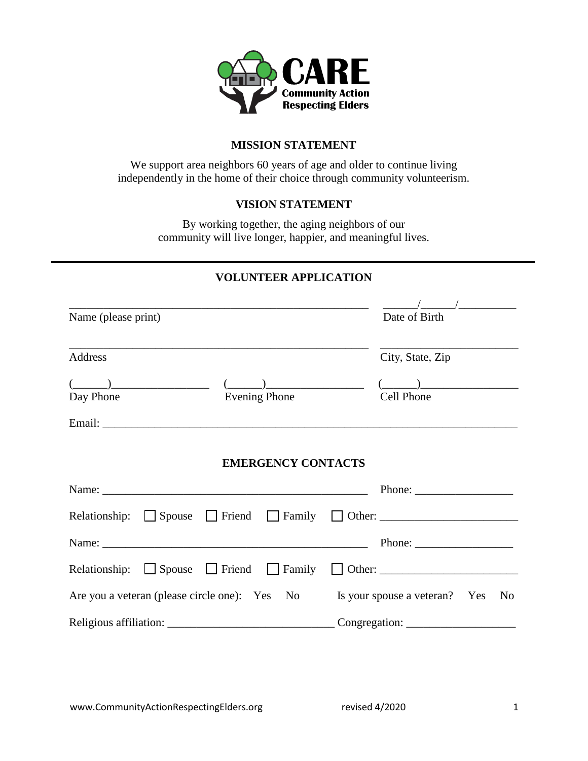

# **MISSION STATEMENT**

We support area neighbors 60 years of age and older to continue living independently in the home of their choice through community volunteerism.

# **VISION STATEMENT**

By working together, the aging neighbors of our community will live longer, happier, and meaningful lives.

# **VOLUNTEER APPLICATION**

| Name (please print)                    |                                                                                                                |                           | Date of Birth                                                                                   |                |
|----------------------------------------|----------------------------------------------------------------------------------------------------------------|---------------------------|-------------------------------------------------------------------------------------------------|----------------|
| Address                                |                                                                                                                |                           | City, State, Zip                                                                                |                |
| $\begin{pmatrix} \cdots \end{pmatrix}$ |                                                                                                                | $($ )                     | $($ ) $)$                                                                                       |                |
| Day Phone                              |                                                                                                                | <b>Evening Phone</b>      | Cell Phone                                                                                      |                |
|                                        |                                                                                                                |                           |                                                                                                 |                |
|                                        |                                                                                                                | <b>EMERGENCY CONTACTS</b> |                                                                                                 |                |
|                                        | Name: 2008. 2008. 2010. 2010. 2010. 2010. 2010. 2010. 2010. 2010. 2010. 2010. 2010. 2010. 2010. 2010. 2010. 20 |                           | Phone: $\frac{1}{\sqrt{1-\frac{1}{2}} \cdot \frac{1}{2}}$                                       |                |
|                                        | Relationship: $\Box$ Spouse $\Box$ Friend $\Box$ Family $\Box$ Other: $\Box$                                   |                           |                                                                                                 |                |
|                                        |                                                                                                                |                           | Phone: $\frac{1}{\sqrt{1-\frac{1}{2}}\sqrt{1-\frac{1}{2}}\left(\frac{1}{2}-\frac{1}{2}\right)}$ |                |
|                                        | Relationship: $\Box$ Spouse $\Box$ Friend $\Box$ Family                                                        |                           |                                                                                                 |                |
|                                        | Are you a veteran (please circle one): Yes No Is your spouse a veteran? Yes                                    |                           |                                                                                                 | N <sub>0</sub> |
|                                        |                                                                                                                |                           |                                                                                                 |                |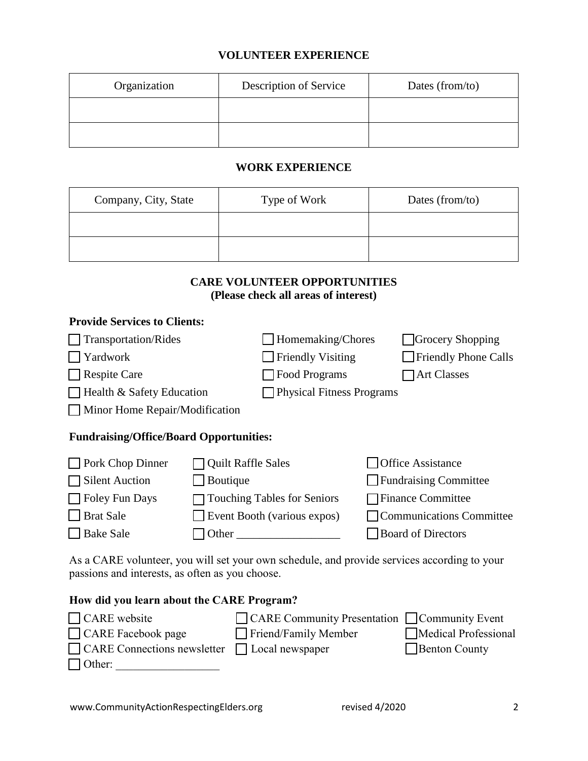### **VOLUNTEER EXPERIENCE**

| Organization | Description of Service | Dates (from/to) |
|--------------|------------------------|-----------------|
|              |                        |                 |
|              |                        |                 |

#### **WORK EXPERIENCE**

| Company, City, State | Type of Work | Dates (from/to) |
|----------------------|--------------|-----------------|
|                      |              |                 |
|                      |              |                 |

### **CARE VOLUNTEER OPPORTUNITIES (Please check all areas of interest)**

#### **Provide Services to Clients:**

| Transportation/Rides                           |                                  | Homemaking/Chores                  | Grocery Shopping             |
|------------------------------------------------|----------------------------------|------------------------------------|------------------------------|
| $\Box$ Yardwork                                |                                  | <b>Friendly Visiting</b>           | Friendly Phone Calls         |
| $\Box$ Respite Care                            |                                  | Food Programs                      | <b>Art Classes</b>           |
| $\Box$ Health & Safety Education               | <b>Physical Fitness Programs</b> |                                    |                              |
| $\Box$ Minor Home Repair/Modification          |                                  |                                    |                              |
| <b>Fundraising/Office/Board Opportunities:</b> |                                  |                                    |                              |
| $\Box$ Pork Chop Dinner                        | <b>Quilt Raffle Sales</b>        |                                    | <b>Office Assistance</b>     |
| $\Box$ Silent Auction                          | Boutique                         |                                    | $\Box$ Fundraising Committee |
| $\Box$ Foley Fun Days                          |                                  | <b>Touching Tables for Seniors</b> | Finance Committee            |
| $\Box$ Brat Sale                               |                                  | Event Booth (various expos)        | Communications Committee     |
| Bake Sale<br>Other                             |                                  |                                    | <b>Board of Directors</b>    |

As a CARE volunteer, you will set your own schedule, and provide services according to your passions and interests, as often as you choose.

#### **How did you learn about the CARE Program?**

| $\Box$ CARE website                                       | □ CARE Community Presentation □ Community Event |                      |
|-----------------------------------------------------------|-------------------------------------------------|----------------------|
| $\Box$ CARE Facebook page                                 | $\Box$ Friend/Family Member                     | Medical Professional |
| $\Box$ CARE Connections newsletter $\Box$ Local newspaper |                                                 | $\Box$ Benton County |
| $\Box$ Other:                                             |                                                 |                      |